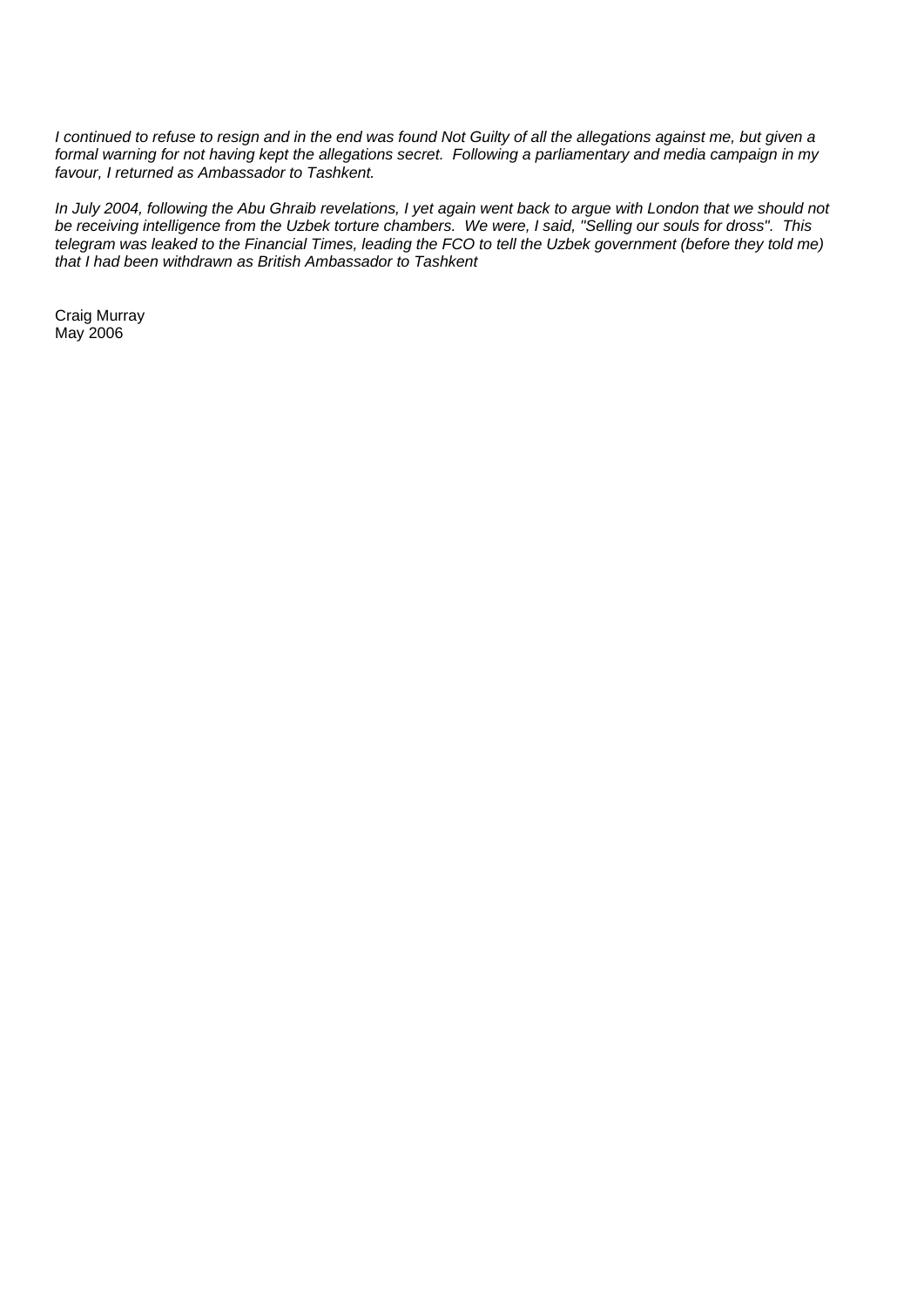*I continued to refuse to resign and in the end was found Not Guilty of all the allegations against me, but given a formal warning for not having kept the allegations secret. Following a parliamentary and media campaign in my favour, I returned as Ambassador to Tashkent.* 

*In July 2004, following the Abu Ghraib revelations, I yet again went back to argue with London that we should not be receiving intelligence from the Uzbek torture chambers. We were, I said, "Selling our souls for dross". This telegram was leaked to the Financial Times, leading the FCO to tell the Uzbek government (before they told me) that I had been withdrawn as British Ambassador to Tashkent* 

Craig Murray May 2006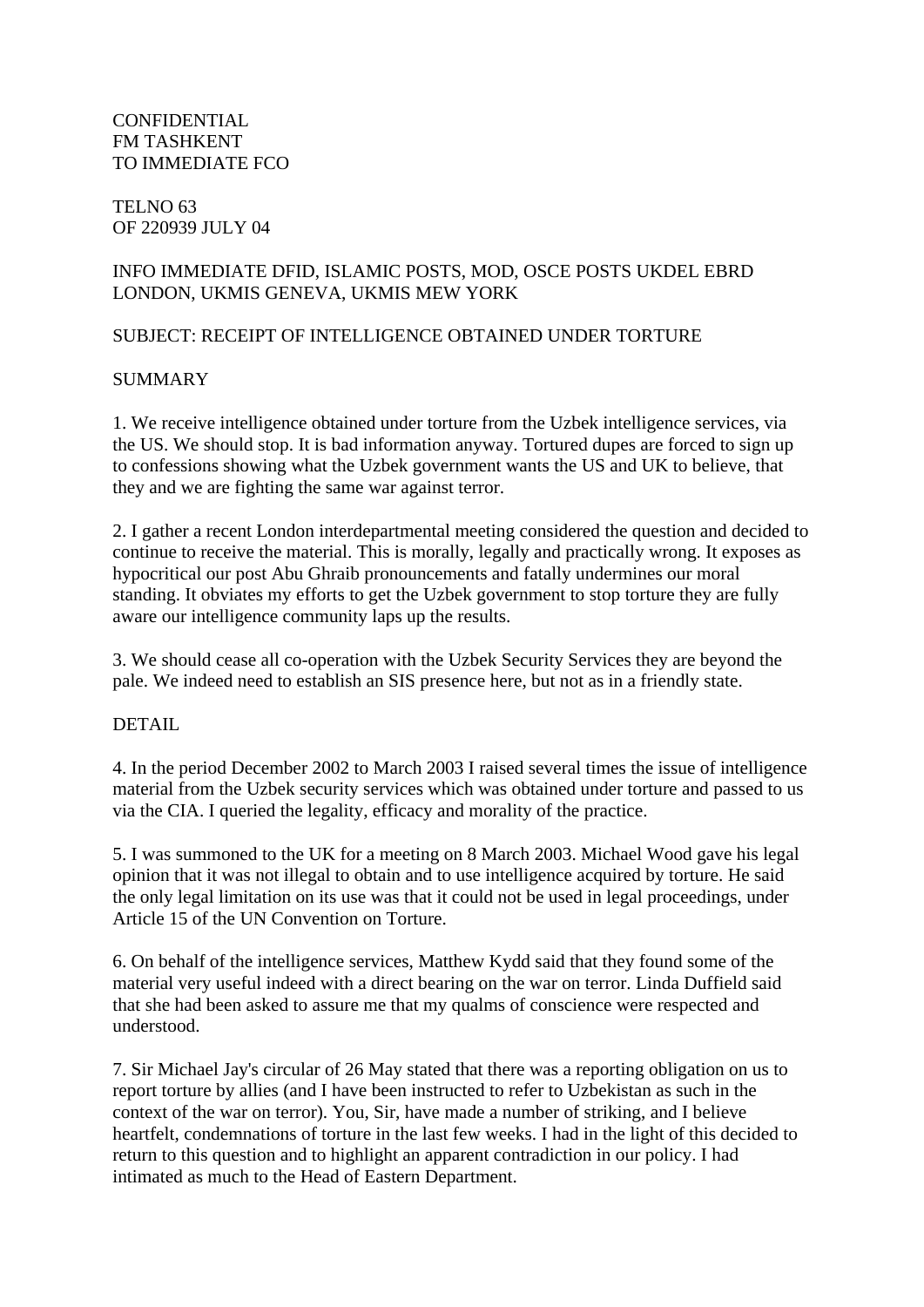**CONFIDENTIAL** FM TASHKENT TO IMMEDIATE FCO

#### TELNO 63 OF 220939 JULY 04

# INFO IMMEDIATE DFID, ISLAMIC POSTS, MOD, OSCE POSTS UKDEL EBRD LONDON, UKMIS GENEVA, UKMIS MEW YORK

# SUBJECT: RECEIPT OF INTELLIGENCE OBTAINED UNDER TORTURE

## SUMMARY

1. We receive intelligence obtained under torture from the Uzbek intelligence services, via the US. We should stop. It is bad information anyway. Tortured dupes are forced to sign up to confessions showing what the Uzbek government wants the US and UK to believe, that they and we are fighting the same war against terror.

2. I gather a recent London interdepartmental meeting considered the question and decided to continue to receive the material. This is morally, legally and practically wrong. It exposes as hypocritical our post Abu Ghraib pronouncements and fatally undermines our moral standing. It obviates my efforts to get the Uzbek government to stop torture they are fully aware our intelligence community laps up the results.

3. We should cease all co-operation with the Uzbek Security Services they are beyond the pale. We indeed need to establish an SIS presence here, but not as in a friendly state.

#### DETAIL.

4. In the period December 2002 to March 2003 I raised several times the issue of intelligence material from the Uzbek security services which was obtained under torture and passed to us via the CIA. I queried the legality, efficacy and morality of the practice.

5. I was summoned to the UK for a meeting on 8 March 2003. Michael Wood gave his legal opinion that it was not illegal to obtain and to use intelligence acquired by torture. He said the only legal limitation on its use was that it could not be used in legal proceedings, under Article 15 of the UN Convention on Torture.

6. On behalf of the intelligence services, Matthew Kydd said that they found some of the material very useful indeed with a direct bearing on the war on terror. Linda Duffield said that she had been asked to assure me that my qualms of conscience were respected and understood.

7. Sir Michael Jay's circular of 26 May stated that there was a reporting obligation on us to report torture by allies (and I have been instructed to refer to Uzbekistan as such in the context of the war on terror). You, Sir, have made a number of striking, and I believe heartfelt, condemnations of torture in the last few weeks. I had in the light of this decided to return to this question and to highlight an apparent contradiction in our policy. I had intimated as much to the Head of Eastern Department.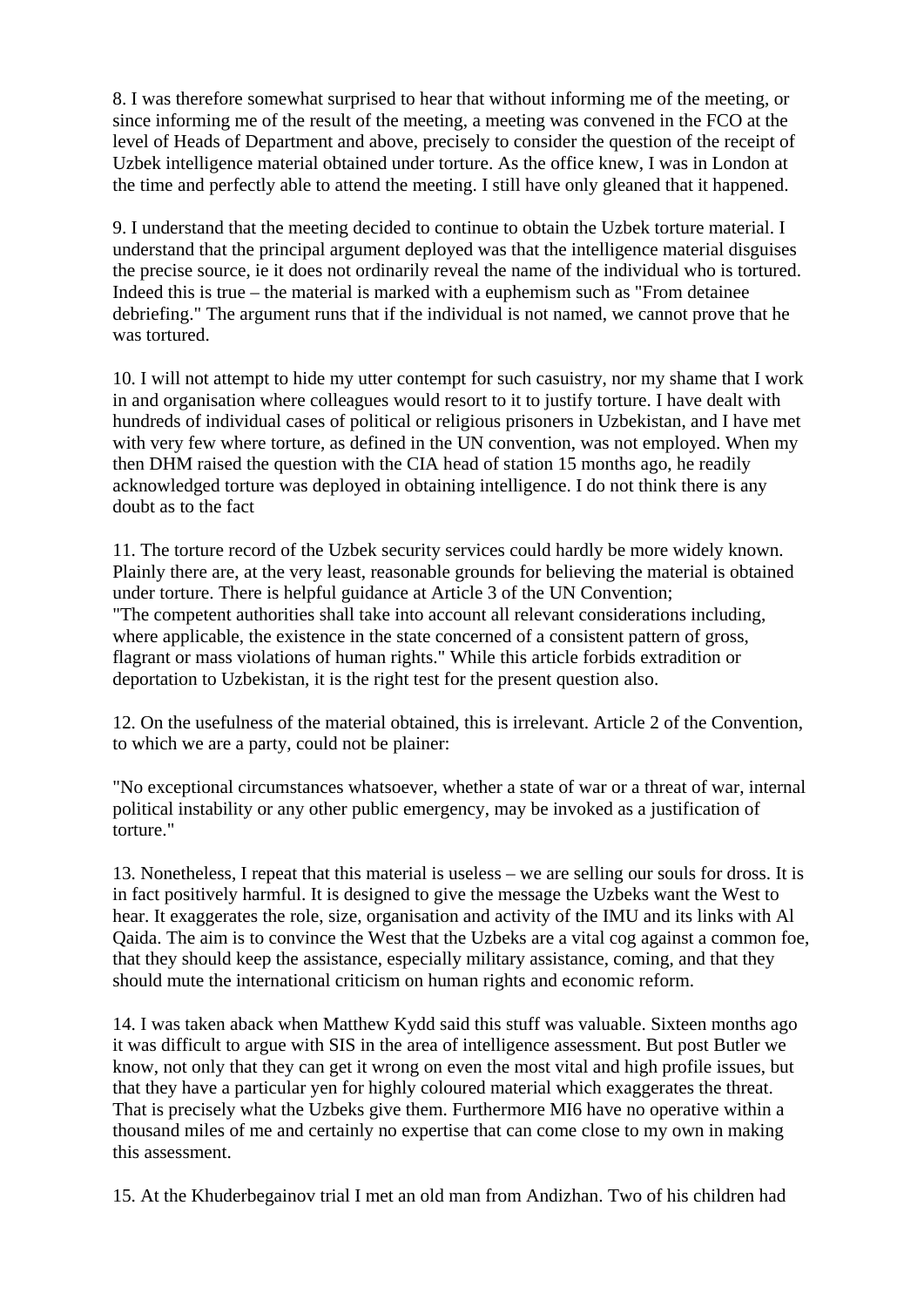8. I was therefore somewhat surprised to hear that without informing me of the meeting, or since informing me of the result of the meeting, a meeting was convened in the FCO at the level of Heads of Department and above, precisely to consider the question of the receipt of Uzbek intelligence material obtained under torture. As the office knew, I was in London at the time and perfectly able to attend the meeting. I still have only gleaned that it happened.

9. I understand that the meeting decided to continue to obtain the Uzbek torture material. I understand that the principal argument deployed was that the intelligence material disguises the precise source, ie it does not ordinarily reveal the name of the individual who is tortured. Indeed this is true – the material is marked with a euphemism such as "From detainee debriefing." The argument runs that if the individual is not named, we cannot prove that he was tortured.

10. I will not attempt to hide my utter contempt for such casuistry, nor my shame that I work in and organisation where colleagues would resort to it to justify torture. I have dealt with hundreds of individual cases of political or religious prisoners in Uzbekistan, and I have met with very few where torture, as defined in the UN convention, was not employed. When my then DHM raised the question with the CIA head of station 15 months ago, he readily acknowledged torture was deployed in obtaining intelligence. I do not think there is any doubt as to the fact

11. The torture record of the Uzbek security services could hardly be more widely known. Plainly there are, at the very least, reasonable grounds for believing the material is obtained under torture. There is helpful guidance at Article 3 of the UN Convention; "The competent authorities shall take into account all relevant considerations including, where applicable, the existence in the state concerned of a consistent pattern of gross, flagrant or mass violations of human rights." While this article forbids extradition or deportation to Uzbekistan, it is the right test for the present question also.

12. On the usefulness of the material obtained, this is irrelevant. Article 2 of the Convention, to which we are a party, could not be plainer:

"No exceptional circumstances whatsoever, whether a state of war or a threat of war, internal political instability or any other public emergency, may be invoked as a justification of torture."

13. Nonetheless, I repeat that this material is useless – we are selling our souls for dross. It is in fact positively harmful. It is designed to give the message the Uzbeks want the West to hear. It exaggerates the role, size, organisation and activity of the IMU and its links with Al Qaida. The aim is to convince the West that the Uzbeks are a vital cog against a common foe, that they should keep the assistance, especially military assistance, coming, and that they should mute the international criticism on human rights and economic reform.

14. I was taken aback when Matthew Kydd said this stuff was valuable. Sixteen months ago it was difficult to argue with SIS in the area of intelligence assessment. But post Butler we know, not only that they can get it wrong on even the most vital and high profile issues, but that they have a particular yen for highly coloured material which exaggerates the threat. That is precisely what the Uzbeks give them. Furthermore MI6 have no operative within a thousand miles of me and certainly no expertise that can come close to my own in making this assessment.

15. At the Khuderbegainov trial I met an old man from Andizhan. Two of his children had